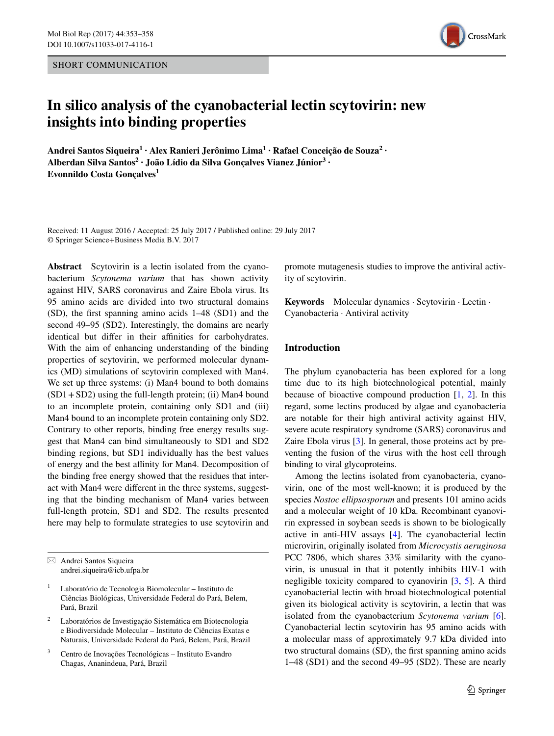SHORT COMMUNICATION



# **In silico analysis of the cyanobacterial lectin scytovirin: new insights into binding properties**

**Andrei Santos Siqueira1 · Alex Ranieri Jerônimo Lima<sup>1</sup> · Rafael Conceição de Souza<sup>2</sup> · Alberdan Silva Santos<sup>2</sup> · João Lídio da Silva Gonçalves Vianez Júnior3 · Evonnildo Costa Gonçalves<sup>1</sup>**

Received: 11 August 2016 / Accepted: 25 July 2017 / Published online: 29 July 2017 © Springer Science+Business Media B.V. 2017

**Abstract** Scytovirin is a lectin isolated from the cyanobacterium *Scytonema varium* that has shown activity against HIV, SARS coronavirus and Zaire Ebola virus. Its 95 amino acids are divided into two structural domains (SD), the first spanning amino acids 1–48 (SD1) and the second 49–95 (SD2). Interestingly, the domains are nearly identical but differ in their affinities for carbohydrates. With the aim of enhancing understanding of the binding properties of scytovirin, we performed molecular dynamics (MD) simulations of scytovirin complexed with Man4. We set up three systems: (i) Man4 bound to both domains  $(SD1 + SD2)$  using the full-length protein; (ii) Man4 bound to an incomplete protein, containing only SD1 and (iii) Man4 bound to an incomplete protein containing only SD2. Contrary to other reports, binding free energy results suggest that Man4 can bind simultaneously to SD1 and SD2 binding regions, but SD1 individually has the best values of energy and the best affinity for Man4. Decomposition of the binding free energy showed that the residues that interact with Man4 were different in the three systems, suggesting that the binding mechanism of Man4 varies between full-length protein, SD1 and SD2. The results presented here may help to formulate strategies to use scytovirin and

- <sup>2</sup> Laboratórios de Investigação Sistemática em Biotecnologia e Biodiversidade Molecular – Instituto de Ciências Exatas e Naturais, Universidade Federal do Pará, Belem, Pará, Brazil
- <sup>3</sup> Centro de Inovações Tecnológicas Instituto Evandro Chagas, Ananindeua, Pará, Brazil

promote mutagenesis studies to improve the antiviral activity of scytovirin.

**Keywords** Molecular dynamics · Scytovirin · Lectin · Cyanobacteria · Antiviral activity

# **Introduction**

The phylum cyanobacteria has been explored for a long time due to its high biotechnological potential, mainly because of bioactive compound production  $[1, 2]$  $[1, 2]$  $[1, 2]$ . In this regard, some lectins produced by algae and cyanobacteria are notable for their high antiviral activity against HIV, severe acute respiratory syndrome (SARS) coronavirus and Zaire Ebola virus [[3\]](#page-5-1). In general, those proteins act by preventing the fusion of the virus with the host cell through binding to viral glycoproteins.

Among the lectins isolated from cyanobacteria, cyanovirin, one of the most well-known; it is produced by the species *Nostoc ellipsosporum* and presents 101 amino acids and a molecular weight of 10 kDa. Recombinant cyanovirin expressed in soybean seeds is shown to be biologically active in anti-HIV assays [\[4](#page-5-2)]. The cyanobacterial lectin microvirin, originally isolated from *Microcystis aeruginosa* PCC 7806, which shares 33% similarity with the cyanovirin, is unusual in that it potently inhibits HIV-1 with negligible toxicity compared to cyanovirin [\[3](#page-5-1), [5\]](#page-5-3). A third cyanobacterial lectin with broad biotechnological potential given its biological activity is scytovirin, a lectin that was isolated from the cyanobacterium *Scytonema varium* [\[6](#page-5-4)]. Cyanobacterial lectin scytovirin has 95 amino acids with a molecular mass of approximately 9.7 kDa divided into two structural domains (SD), the first spanning amino acids 1–48 (SD1) and the second 49–95 (SD2). These are nearly

 $\boxtimes$  Andrei Santos Siqueira andrei.siqueira@icb.ufpa.br

<sup>1</sup> Laboratório de Tecnologia Biomolecular – Instituto de Ciências Biológicas, Universidade Federal do Pará, Belem, Pará, Brazil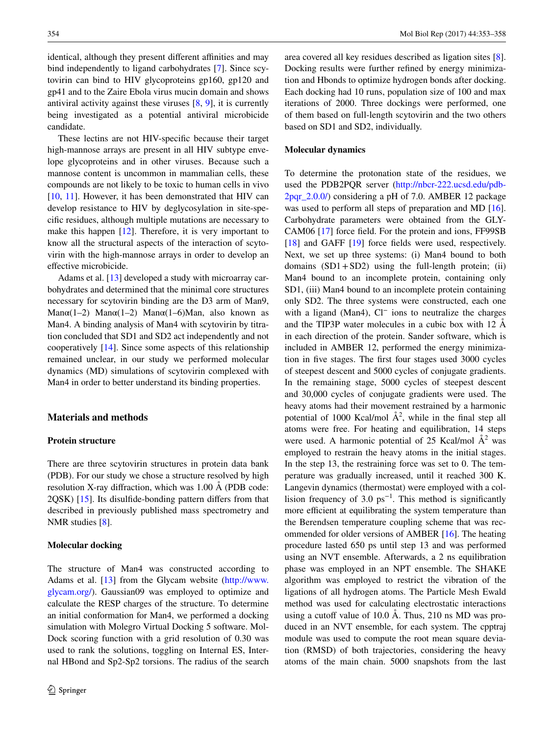identical, although they present different affinities and may bind independently to ligand carbohydrates [\[7](#page-5-5)]. Since scytovirin can bind to HIV glycoproteins gp160, gp120 and gp41 and to the Zaire Ebola virus mucin domain and shows antiviral activity against these viruses [\[8](#page-5-6), [9\]](#page-5-7), it is currently being investigated as a potential antiviral microbicide candidate.

These lectins are not HIV-specific because their target high-mannose arrays are present in all HIV subtype envelope glycoproteins and in other viruses. Because such a mannose content is uncommon in mammalian cells, these compounds are not likely to be toxic to human cells in vivo [\[10](#page-5-8), [11](#page-5-9)]. However, it has been demonstrated that HIV can develop resistance to HIV by deglycosylation in site-specific residues, although multiple mutations are necessary to make this happen [\[12](#page-5-10)]. Therefore, it is very important to know all the structural aspects of the interaction of scytovirin with the high-mannose arrays in order to develop an effective microbicide.

Adams et al. [[13\]](#page-5-11) developed a study with microarray carbohydrates and determined that the minimal core structures necessary for scytovirin binding are the D3 arm of Man9, Man $\alpha(1-2)$  Man $\alpha(1-2)$  Man $\alpha(1-6)$ Man, also known as Man4. A binding analysis of Man4 with scytovirin by titration concluded that SD1 and SD2 act independently and not cooperatively [[14\]](#page-5-12). Since some aspects of this relationship remained unclear, in our study we performed molecular dynamics (MD) simulations of scytovirin complexed with Man4 in order to better understand its binding properties.

# **Materials and methods**

#### **Protein structure**

There are three scytovirin structures in protein data bank (PDB). For our study we chose a structure resolved by high resolution X-ray diffraction, which was 1.00 Å (PDB code: 2QSK) [[15\]](#page-5-13). Its disulfide-bonding pattern differs from that described in previously published mass spectrometry and NMR studies [[8\]](#page-5-6).

## **Molecular docking**

The structure of Man4 was constructed according to Adams et al. [[13\]](#page-5-11) from the Glycam website ([http://www.](http://www.glycam.org/) [glycam.org/\)](http://www.glycam.org/). Gaussian09 was employed to optimize and calculate the RESP charges of the structure. To determine an initial conformation for Man4, we performed a docking simulation with Molegro Virtual Docking 5 software. Mol-Dock scoring function with a grid resolution of 0.30 was used to rank the solutions, toggling on Internal ES, Internal HBond and Sp2-Sp2 torsions. The radius of the search area covered all key residues described as ligation sites [\[8](#page-5-6)]. Docking results were further refined by energy minimization and Hbonds to optimize hydrogen bonds after docking. Each docking had 10 runs, population size of 100 and max iterations of 2000. Three dockings were performed, one of them based on full-length scytovirin and the two others based on SD1 and SD2, individually.

## **Molecular dynamics**

To determine the protonation state of the residues, we used the PDB2PQR server ([http://nbcr-222.ucsd.edu/pdb-](http://nbcr-222.ucsd.edu/pdb2pqr_2.0.0/)[2pqr\\_2.0.0/](http://nbcr-222.ucsd.edu/pdb2pqr_2.0.0/)) considering a pH of 7.0. AMBER 12 package was used to perform all steps of preparation and MD [\[16](#page-5-14)]. Carbohydrate parameters were obtained from the GLY-CAM06 [\[17](#page-5-15)] force field. For the protein and ions, FF99SB [\[18](#page-5-16)] and GAFF [\[19](#page-5-17)] force fields were used, respectively. Next, we set up three systems: (i) Man4 bound to both domains  $(SD1 + SD2)$  using the full-length protein; (ii) Man4 bound to an incomplete protein, containing only SD1, (iii) Man4 bound to an incomplete protein containing only SD2. The three systems were constructed, each one with a ligand (Man4), Cl<sup>−</sup> ions to neutralize the charges and the TIP3P water molecules in a cubic box with 12 Å in each direction of the protein. Sander software, which is included in AMBER 12, performed the energy minimization in five stages. The first four stages used 3000 cycles of steepest descent and 5000 cycles of conjugate gradients. In the remaining stage, 5000 cycles of steepest descent and 30,000 cycles of conjugate gradients were used. The heavy atoms had their movement restrained by a harmonic potential of 1000 Kcal/mol  $A^2$ , while in the final step all atoms were free. For heating and equilibration, 14 steps were used. A harmonic potential of 25 Kcal/mol  $A^2$  was employed to restrain the heavy atoms in the initial stages. In the step 13, the restraining force was set to 0. The temperature was gradually increased, until it reached 300 K. Langevin dynamics (thermostat) were employed with a collision frequency of 3.0  $ps^{-1}$ . This method is significantly more efficient at equilibrating the system temperature than the Berendsen temperature coupling scheme that was recommended for older versions of AMBER [\[16](#page-5-14)]. The heating procedure lasted 650 ps until step 13 and was performed using an NVT ensemble. Afterwards, a 2 ns equilibration phase was employed in an NPT ensemble. The SHAKE algorithm was employed to restrict the vibration of the ligations of all hydrogen atoms. The Particle Mesh Ewald method was used for calculating electrostatic interactions using a cutoff value of 10.0 Å. Thus, 210 ns MD was produced in an NVT ensemble, for each system. The cpptraj module was used to compute the root mean square deviation (RMSD) of both trajectories, considering the heavy atoms of the main chain. 5000 snapshots from the last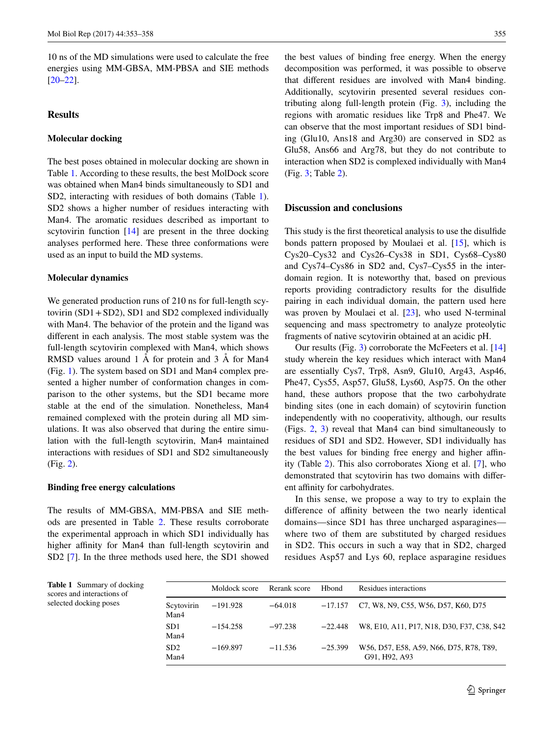10 ns of the MD simulations were used to calculate the free energies using MM-GBSA, MM-PBSA and SIE methods [\[20](#page-5-18)[–22](#page-5-19)].

# **Results**

#### **Molecular docking**

The best poses obtained in molecular docking are shown in Table [1.](#page-2-0) According to these results, the best MolDock score was obtained when Man4 binds simultaneously to SD1 and SD2, interacting with residues of both domains (Table [1](#page-2-0)). SD2 shows a higher number of residues interacting with Man4. The aromatic residues described as important to scytovirin function  $[14]$  $[14]$  are present in the three docking analyses performed here. These three conformations were used as an input to build the MD systems.

#### **Molecular dynamics**

We generated production runs of 210 ns for full-length scytovirin (SD1+SD2), SD1 and SD2 complexed individually with Man4. The behavior of the protein and the ligand was different in each analysis. The most stable system was the full-length scytovirin complexed with Man4, which shows RMSD values around 1 Å for protein and 3 Å for Man4 (Fig. [1\)](#page-3-0). The system based on SD1 and Man4 complex presented a higher number of conformation changes in comparison to the other systems, but the SD1 became more stable at the end of the simulation. Nonetheless, Man4 remained complexed with the protein during all MD simulations. It was also observed that during the entire simulation with the full-length scytovirin, Man4 maintained interactions with residues of SD1 and SD2 simultaneously (Fig. [2\)](#page-3-1).

## **Binding free energy calculations**

The results of MM-GBSA, MM-PBSA and SIE methods are presented in Table [2](#page-4-1). These results corroborate the experimental approach in which SD1 individually has higher affinity for Man4 than full-length scytovirin and SD2 [\[7](#page-5-5)]. In the three methods used here, the SD1 showed the best values of binding free energy. When the energy decomposition was performed, it was possible to observe that different residues are involved with Man4 binding. Additionally, scytovirin presented several residues contributing along full-length protein (Fig. [3\)](#page-4-2), including the regions with aromatic residues like Trp8 and Phe47. We can observe that the most important residues of SD1 binding (Glu10, Ans18 and Arg30) are conserved in SD2 as Glu58, Ans66 and Arg78, but they do not contribute to interaction when SD2 is complexed individually with Man4 (Fig. [3;](#page-4-2) Table [2\)](#page-4-1).

### **Discussion and conclusions**

This study is the first theoretical analysis to use the disulfide bonds pattern proposed by Moulaei et al. [[15\]](#page-5-13), which is Cys20–Cys32 and Cys26–Cys38 in SD1, Cys68–Cys80 and Cys74–Cys86 in SD2 and, Cys7–Cys55 in the interdomain region. It is noteworthy that, based on previous reports providing contradictory results for the disulfide pairing in each individual domain, the pattern used here was proven by Moulaei et al. [[23\]](#page-5-20), who used N-terminal sequencing and mass spectrometry to analyze proteolytic fragments of native scytovirin obtained at an acidic pH.

Our results (Fig. [3](#page-4-2)) corroborate the McFeeters et al. [[14\]](#page-5-12) study wherein the key residues which interact with Man4 are essentially Cys7, Trp8, Asn9, Glu10, Arg43, Asp46, Phe47, Cys55, Asp57, Glu58, Lys60, Asp75. On the other hand, these authors propose that the two carbohydrate binding sites (one in each domain) of scytovirin function independently with no cooperativity, although, our results (Figs. [2](#page-3-1), [3\)](#page-4-2) reveal that Man4 can bind simultaneously to residues of SD1 and SD2. However, SD1 individually has the best values for binding free energy and higher affinity (Table [2](#page-4-1)). This also corroborates Xiong et al. [[7\]](#page-5-5), who demonstrated that scytovirin has two domains with different affinity for carbohydrates.

In this sense, we propose a way to try to explain the difference of affinity between the two nearly identical domains—since SD1 has three uncharged asparagines where two of them are substituted by charged residues in SD2. This occurs in such a way that in SD2, charged residues Asp57 and Lys 60, replace asparagine residues

<span id="page-2-0"></span>**Table 1** Summary of docking scores and interactions of selected docking poses

|                         | Moldock score | Rerank score | <b>H</b> bond | Residues interactions                                    |
|-------------------------|---------------|--------------|---------------|----------------------------------------------------------|
| Scytovirin<br>Man4      | $-191.928$    | $-64.018$    | $-17.157$     | C7, W8, N9, C55, W56, D57, K60, D75                      |
| SD <sub>1</sub><br>Man4 | $-154.258$    | $-97.238$    | $-22.448$     | W8, E10, A11, P17, N18, D30, F37, C38, S42               |
| SD2<br>Man4             | $-169.897$    | $-11.536$    | $-25.399$     | W56, D57, E58, A59, N66, D75, R78, T89,<br>G91, H92, A93 |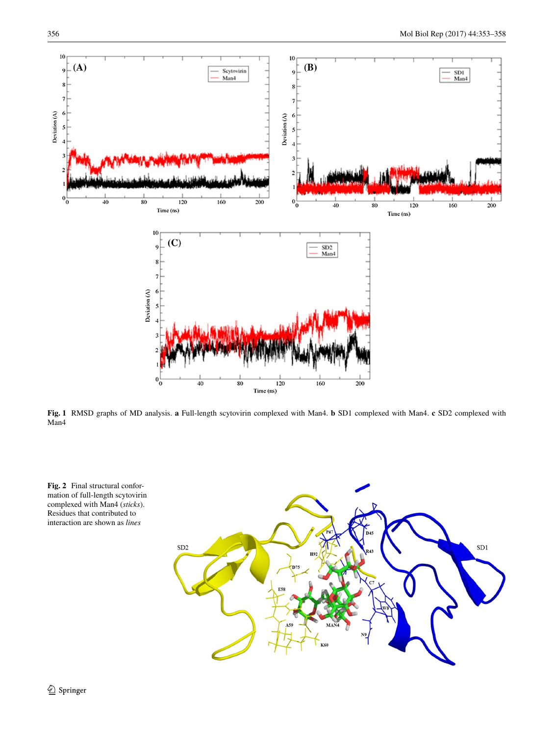

<span id="page-3-0"></span>**Fig. 1** RMSD graphs of MD analysis. **a** Full-length scytovirin complexed with Man4. **b** SD1 complexed with Man4. **c** SD2 complexed with Man<sub>4</sub>



<span id="page-3-1"></span>**Fig. 2** Final structural conformation of full-length scytovirin complexed with Man4 (*sticks*). Residues that contributed to interaction are shown as *lines*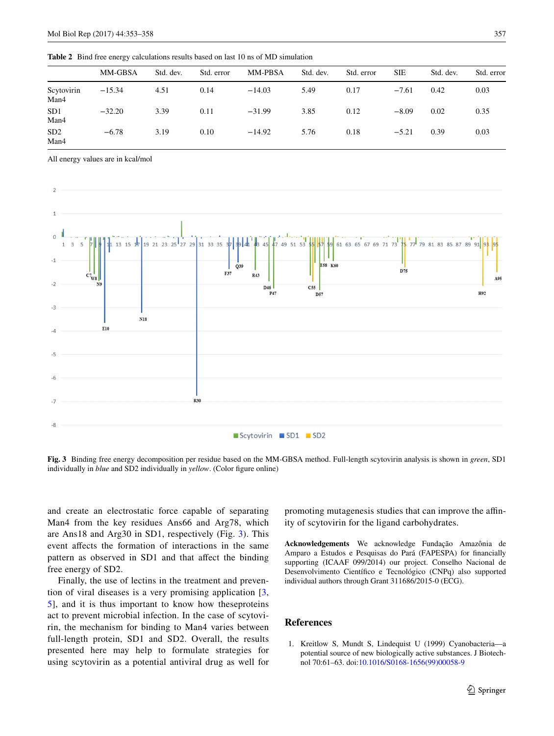<span id="page-4-1"></span>**Table 2** Bind free energy calculations results based on last 10 ns of MD simulation MM-GBSA Std. dev. Std. error MM-PBSA Std. dev. Std. error SIE Std. dev. Std. error Scytovirin Man4 −15.34 4.51 0.14 −14.03 5.49 0.17 −7.61 0.42 0.03

All energy values are in kcal/mol

SD1 Man4

SD2 Man4



−32.20 3.39 0.11 −31.99 3.85 0.12 −8.09 0.02 0.35

−6.78 3.19 0.10 −14.92 5.76 0.18 −5.21 0.39 0.03

<span id="page-4-2"></span>**Fig. 3** Binding free energy decomposition per residue based on the MM-GBSA method. Full-length scytovirin analysis is shown in *green*, SD1 individually in *blue* and SD2 individually in *yellow*. (Color figure online)

and create an electrostatic force capable of separating Man4 from the key residues Ans66 and Arg78, which are Ans18 and Arg30 in SD1, respectively (Fig. [3](#page-4-2)). This event affects the formation of interactions in the same pattern as observed in SD1 and that affect the binding free energy of SD2.

Finally, the use of lectins in the treatment and prevention of viral diseases is a very promising application [\[3,](#page-5-1) [5](#page-5-3)], and it is thus important to know how theseproteins act to prevent microbial infection. In the case of scytovirin, the mechanism for binding to Man4 varies between full-length protein, SD1 and SD2. Overall, the results presented here may help to formulate strategies for using scytovirin as a potential antiviral drug as well for promoting mutagenesis studies that can improve the affinity of scytovirin for the ligand carbohydrates.

**Acknowledgements** We acknowledge Fundação Amazônia de Amparo a Estudos e Pesquisas do Pará (FAPESPA) for financially supporting (ICAAF 099/2014) our project. Conselho Nacional de Desenvolvimento Científico e Tecnológico (CNPq) also supported individual authors through Grant 311686/2015-0 (ECG).

# **References**

<span id="page-4-0"></span>1. Kreitlow S, Mundt S, Lindequist U (1999) Cyanobacteria—a potential source of new biologically active substances. J Biotechnol 70:61–63. doi:[10.1016/S0168-1656\(99\)00058-9](http://dx.doi.org/10.1016/S0168-1656(99)00058-9)